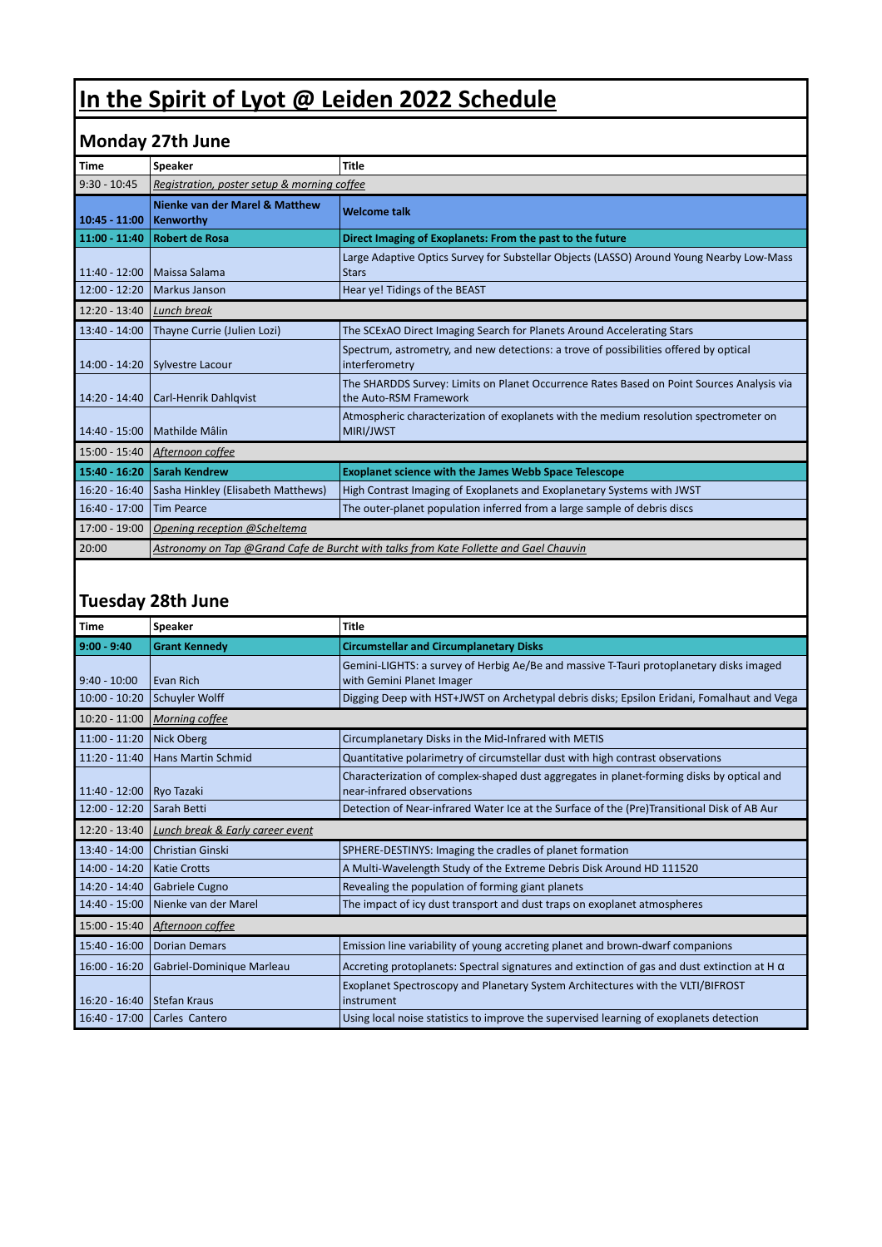## **In the Spirit of Lyot @ Leiden 2022 Schedule**

## **Monday 27th June**

| <b>Time</b>     | <b>Speaker</b>                                                                        | <b>Title</b>                                                                                                        |  |
|-----------------|---------------------------------------------------------------------------------------|---------------------------------------------------------------------------------------------------------------------|--|
| $9:30 - 10:45$  | Registration, poster setup & morning coffee                                           |                                                                                                                     |  |
| $10:45 - 11:00$ | Nienke van der Marel & Matthew<br>Kenworthy                                           | <b>Welcome talk</b>                                                                                                 |  |
| 11:00 - 11:40   | <b>Robert de Rosa</b>                                                                 | Direct Imaging of Exoplanets: From the past to the future                                                           |  |
| $11:40 - 12:00$ | Maissa Salama                                                                         | Large Adaptive Optics Survey for Substellar Objects (LASSO) Around Young Nearby Low-Mass<br><b>Stars</b>            |  |
| $12:00 - 12:20$ | Markus Janson                                                                         | Hear ye! Tidings of the BEAST                                                                                       |  |
| $12:20 - 13:40$ | Lunch break                                                                           |                                                                                                                     |  |
| 13:40 - 14:00   | Thayne Currie (Julien Lozi)                                                           | The SCExAO Direct Imaging Search for Planets Around Accelerating Stars                                              |  |
| $14:00 - 14:20$ | Sylvestre Lacour                                                                      | Spectrum, astrometry, and new detections: a trove of possibilities offered by optical<br>interferometry             |  |
| $14:20 - 14:40$ | <b>Carl-Henrik Dahlqvist</b>                                                          | The SHARDDS Survey: Limits on Planet Occurrence Rates Based on Point Sources Analysis via<br>the Auto-RSM Framework |  |
| 14:40 - 15:00   | Mathilde Mâlin                                                                        | Atmospheric characterization of exoplanets with the medium resolution spectrometer on<br>MIRI/JWST                  |  |
| 15:00 - 15:40   | Afternoon coffee                                                                      |                                                                                                                     |  |
| 15:40 - 16:20   | <b>Sarah Kendrew</b>                                                                  | <b>Exoplanet science with the James Webb Space Telescope</b>                                                        |  |
| $16:20 - 16:40$ | Sasha Hinkley (Elisabeth Matthews)                                                    | High Contrast Imaging of Exoplanets and Exoplanetary Systems with JWST                                              |  |
| $16:40 - 17:00$ | <b>Tim Pearce</b>                                                                     | The outer-planet population inferred from a large sample of debris discs                                            |  |
| 17:00 - 19:00   | Opening reception @Scheltema                                                          |                                                                                                                     |  |
| 20:00           | Astronomy on Tap @Grand Cafe de Burcht with talks from Kate Follette and Gael Chauvin |                                                                                                                     |  |
|                 |                                                                                       |                                                                                                                     |  |

## **Tuesday 28th June**

| <b>Time</b>     | Speaker                                     | <b>Title</b>                                                                                                            |
|-----------------|---------------------------------------------|-------------------------------------------------------------------------------------------------------------------------|
| 9:00 - 9:40     | <b>Grant Kennedy</b>                        | <b>Circumstellar and Circumplanetary Disks</b>                                                                          |
| $9:40 - 10:00$  | Evan Rich                                   | Gemini-LIGHTS: a survey of Herbig Ae/Be and massive T-Tauri protoplanetary disks imaged<br>with Gemini Planet Imager    |
| $10:00 - 10:20$ | Schuyler Wolff                              | Digging Deep with HST+JWST on Archetypal debris disks; Epsilon Eridani, Fomalhaut and Vega                              |
| $10:20 - 11:00$ | <b>Morning coffee</b>                       |                                                                                                                         |
| $11:00 - 11:20$ | Nick Oberg                                  | Circumplanetary Disks in the Mid-Infrared with METIS                                                                    |
| $11:20 - 11:40$ | Hans Martin Schmid                          | Quantitative polarimetry of circumstellar dust with high contrast observations                                          |
| $11:40 - 12:00$ | Ryo Tazaki                                  | Characterization of complex-shaped dust aggregates in planet-forming disks by optical and<br>near-infrared observations |
| $12:00 - 12:20$ | Sarah Betti                                 | Detection of Near-infrared Water Ice at the Surface of the (Pre)Transitional Disk of AB Aur                             |
| 12:20 - 13:40   | <b>Lunch break &amp; Early career event</b> |                                                                                                                         |
| $13:40 - 14:00$ | Christian Ginski                            | SPHERE-DESTINYS: Imaging the cradles of planet formation                                                                |
| $14:00 - 14:20$ | Katie Crotts                                | A Multi-Wavelength Study of the Extreme Debris Disk Around HD 111520                                                    |
| $14:20 - 14:40$ | Gabriele Cugno                              | Revealing the population of forming giant planets                                                                       |
| 14:40 - 15:00   | Nienke van der Marel                        | The impact of icy dust transport and dust traps on exoplanet atmospheres                                                |
| $15:00 - 15:40$ | Afternoon coffee                            |                                                                                                                         |
| $15:40 - 16:00$ | Dorian Demars                               | Emission line variability of young accreting planet and brown-dwarf companions                                          |
| $16:00 - 16:20$ | Gabriel-Dominique Marleau                   | Accreting protoplanets: Spectral signatures and extinction of gas and dust extinction at H $\alpha$                     |
| $16:20 - 16:40$ | Stefan Kraus                                | Exoplanet Spectroscopy and Planetary System Architectures with the VLTI/BIFROST<br>instrument                           |
| $16:40 - 17:00$ | Carles Cantero                              | Using local noise statistics to improve the supervised learning of exoplanets detection                                 |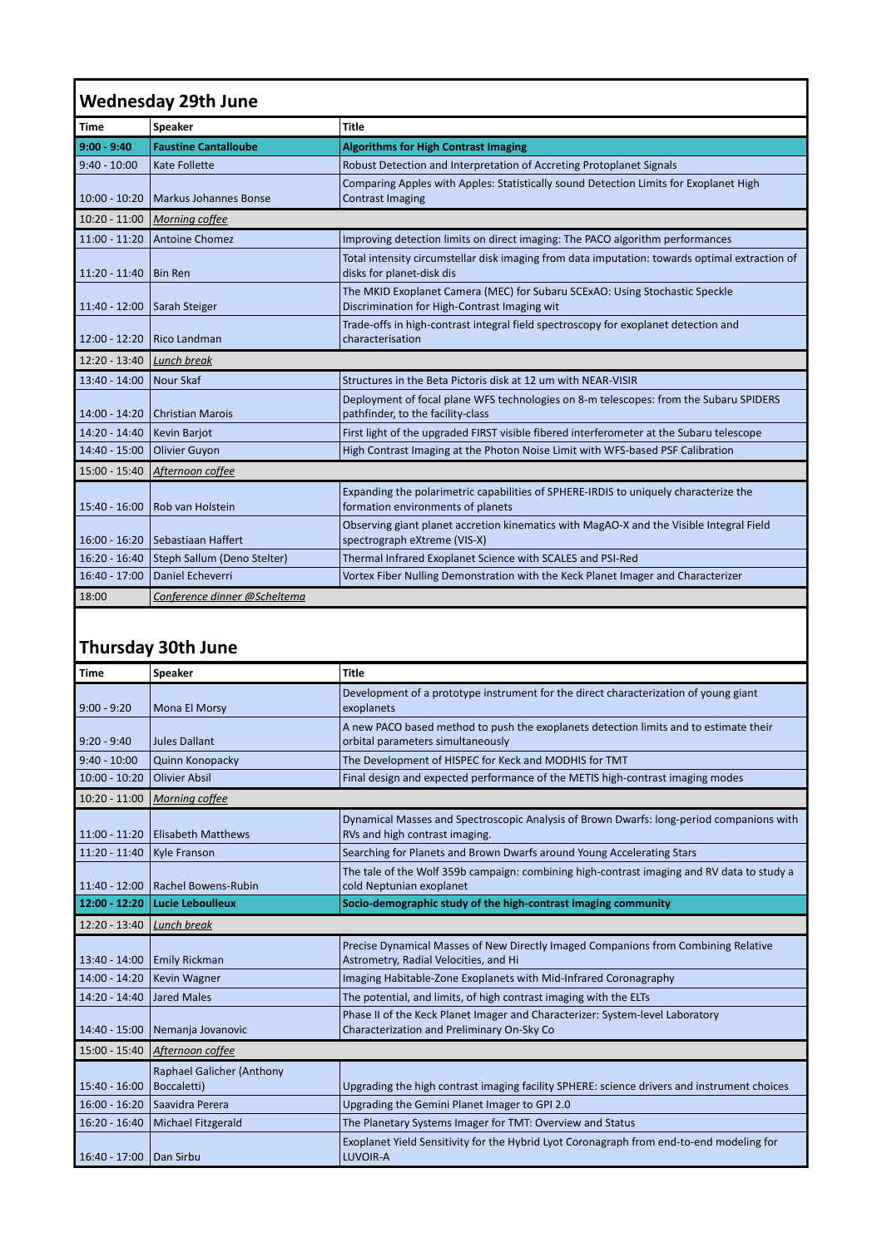| <b>Wednesday 29th June</b> |                                  |                                                                                                                             |  |  |
|----------------------------|----------------------------------|-----------------------------------------------------------------------------------------------------------------------------|--|--|
| <b>Time</b>                | Speaker                          | <b>Title</b>                                                                                                                |  |  |
| $9:00 - 9:40$              | <b>Faustine Cantalloube</b>      | <b>Algorithms for High Contrast Imaging</b>                                                                                 |  |  |
| $9:40 - 10:00$             | Kate Follette                    | Robust Detection and Interpretation of Accreting Protoplanet Signals                                                        |  |  |
| $10:00 - 10:20$            | Markus Johannes Bonse            | Comparing Apples with Apples: Statistically sound Detection Limits for Exoplanet High<br><b>Contrast Imaging</b>            |  |  |
| $10:20 - 11:00$            | Morning coffee                   |                                                                                                                             |  |  |
| $11:00 - 11:20$            | Antoine Chomez                   | Improving detection limits on direct imaging: The PACO algorithm performances                                               |  |  |
| $11:20 - 11:40$            | <b>Bin Ren</b>                   | Total intensity circumstellar disk imaging from data imputation: towards optimal extraction of<br>disks for planet-disk dis |  |  |
| $11:40 - 12:00$            | Sarah Steiger                    | The MKID Exoplanet Camera (MEC) for Subaru SCExAO: Using Stochastic Speckle<br>Discrimination for High-Contrast Imaging wit |  |  |
| $12:00 - 12:20$            | Rico Landman                     | Trade-offs in high-contrast integral field spectroscopy for exoplanet detection and<br>characterisation                     |  |  |
| $12:20 - 13:40$            | Lunch break                      |                                                                                                                             |  |  |
| 13:40 - 14:00              | Nour Skaf                        | Structures in the Beta Pictoris disk at 12 um with NEAR-VISIR                                                               |  |  |
| $14:00 - 14:20$            | Christian Marois                 | Deployment of focal plane WFS technologies on 8-m telescopes: from the Subaru SPIDERS<br>pathfinder, to the facility-class  |  |  |
| 14:20 - 14:40              | Kevin Barjot                     | First light of the upgraded FIRST visible fibered interferometer at the Subaru telescope                                    |  |  |
| 14:40 - 15:00              | Olivier Guyon                    | High Contrast Imaging at the Photon Noise Limit with WFS-based PSF Calibration                                              |  |  |
| 15:00 - 15:40              | Afternoon coffee                 |                                                                                                                             |  |  |
| $15:40 - 16:00$            | Rob van Holstein                 | Expanding the polarimetric capabilities of SPHERE-IRDIS to uniquely characterize the<br>formation environments of planets   |  |  |
|                            | 16:00 - 16:20 Sebastiaan Haffert | Observing giant planet accretion kinematics with MagAO-X and the Visible Integral Field<br>spectrograph eXtreme (VIS-X)     |  |  |
| $16:20 - 16:40$            | Steph Sallum (Deno Stelter)      | Thermal Infrared Exoplanet Science with SCALES and PSI-Red                                                                  |  |  |
| 16:40 - 17:00              | Daniel Echeverri                 | Vortex Fiber Nulling Demonstration with the Keck Planet Imager and Characterizer                                            |  |  |
| 18:00                      | Conference dinner @Scheltema     |                                                                                                                             |  |  |

## **Thursday 30th June**

| Time            | Speaker                                  | <b>Title</b>                                                                                                                |
|-----------------|------------------------------------------|-----------------------------------------------------------------------------------------------------------------------------|
| $9:00 - 9:20$   | Mona El Morsy                            | Development of a prototype instrument for the direct characterization of young giant<br>exoplanets                          |
| $9:20 - 9:40$   | Jules Dallant                            | A new PACO based method to push the exoplanets detection limits and to estimate their<br>orbital parameters simultaneously  |
| $9:40 - 10:00$  | Quinn Konopacky                          | The Development of HISPEC for Keck and MODHIS for TMT                                                                       |
| $10:00 - 10:20$ | <b>Olivier Absil</b>                     | Final design and expected performance of the METIS high-contrast imaging modes                                              |
| $10:20 - 11:00$ | <b>Morning coffee</b>                    |                                                                                                                             |
| $11:00 - 11:20$ | <b>Elisabeth Matthews</b>                | Dynamical Masses and Spectroscopic Analysis of Brown Dwarfs: long-period companions with<br>RVs and high contrast imaging.  |
| 11:20 - 11:40   | Kyle Franson                             | Searching for Planets and Brown Dwarfs around Young Accelerating Stars                                                      |
| $11:40 - 12:00$ | Rachel Bowens-Rubin                      | The tale of the Wolf 359b campaign: combining high-contrast imaging and RV data to study a<br>cold Neptunian exoplanet      |
| 12:00 - 12:20   | <b>Lucie Leboulleux</b>                  | Socio-demographic study of the high-contrast imaging community                                                              |
| 12:20 - 13:40   | Lunch break                              |                                                                                                                             |
| 13:40 - 14:00   | <b>Emily Rickman</b>                     | Precise Dynamical Masses of New Directly Imaged Companions from Combining Relative<br>Astrometry, Radial Velocities, and Hi |
| $14:00 - 14:20$ | Kevin Wagner                             | Imaging Habitable-Zone Exoplanets with Mid-Infrared Coronagraphy                                                            |
| $14:20 - 14:40$ | Jared Males                              | The potential, and limits, of high contrast imaging with the ELTs                                                           |
| 14:40 - 15:00   | Nemanja Jovanovic                        | Phase II of the Keck Planet Imager and Characterizer: System-level Laboratory<br>Characterization and Preliminary On-Sky Co |
| 15:00 - 15:40   | Afternoon coffee                         |                                                                                                                             |
| $15:40 - 16:00$ | Raphael Galicher (Anthony<br>Boccaletti) | Upgrading the high contrast imaging facility SPHERE: science drivers and instrument choices                                 |
| $16:00 - 16:20$ | Saavidra Perera                          | Upgrading the Gemini Planet Imager to GPI 2.0                                                                               |
| $16:20 - 16:40$ | Michael Fitzgerald                       | The Planetary Systems Imager for TMT: Overview and Status                                                                   |
|                 |                                          | Exoplanet Yield Sensitivity for the Hybrid Lyot Coronagraph from end-to-end modeling for                                    |